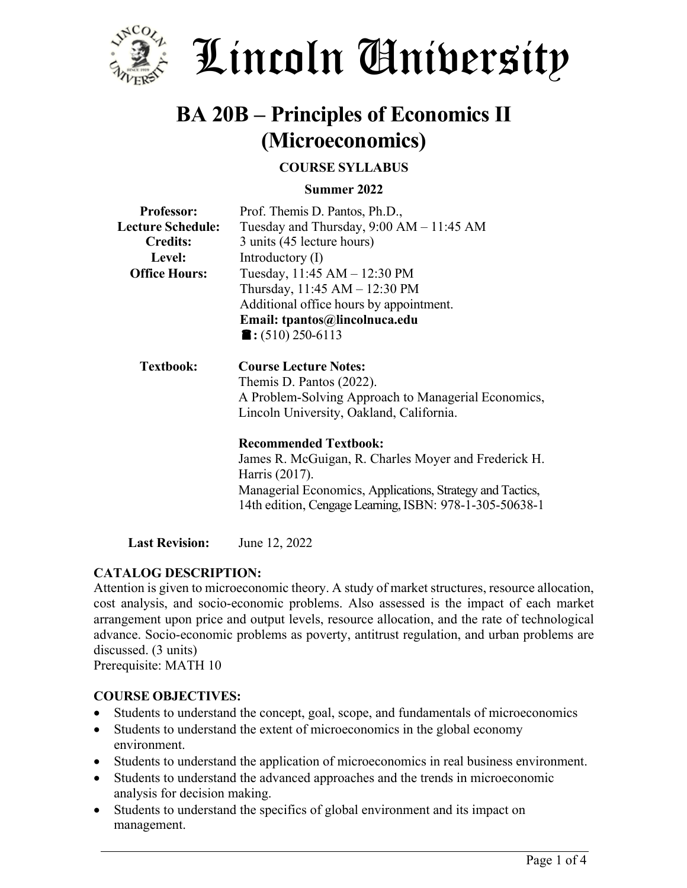

# Lincoln University

# **BA 20B – Principles of Economics II (Microeconomics)**

# **COURSE SYLLABUS**

# **Summer 2022**

| <b>Professor:</b>        | Prof. Themis D. Pantos, Ph.D.,                            |  |  |  |  |  |
|--------------------------|-----------------------------------------------------------|--|--|--|--|--|
| <b>Lecture Schedule:</b> | Tuesday and Thursday, $9:00 AM - 11:45 AM$                |  |  |  |  |  |
| <b>Credits:</b>          | 3 units (45 lecture hours)                                |  |  |  |  |  |
| Level:                   | Introductory $(I)$                                        |  |  |  |  |  |
| <b>Office Hours:</b>     | Tuesday, 11:45 AM - 12:30 PM                              |  |  |  |  |  |
|                          | Thursday, 11:45 AM - 12:30 PM                             |  |  |  |  |  |
|                          | Additional office hours by appointment.                   |  |  |  |  |  |
|                          | Email: tpantos@lincolnuca.edu                             |  |  |  |  |  |
|                          | $\blacksquare$ : (510) 250-6113                           |  |  |  |  |  |
| <b>Textbook:</b>         | <b>Course Lecture Notes:</b>                              |  |  |  |  |  |
|                          | Themis D. Pantos (2022).                                  |  |  |  |  |  |
|                          | A Problem-Solving Approach to Managerial Economics,       |  |  |  |  |  |
|                          | Lincoln University, Oakland, California.                  |  |  |  |  |  |
|                          | <b>Recommended Textbook:</b>                              |  |  |  |  |  |
|                          | James R. McGuigan, R. Charles Moyer and Frederick H.      |  |  |  |  |  |
|                          | Harris (2017).                                            |  |  |  |  |  |
|                          | Managerial Economics, Applications, Strategy and Tactics, |  |  |  |  |  |
|                          | 14th edition, Cengage Learning, ISBN: 978-1-305-50638-1   |  |  |  |  |  |
|                          |                                                           |  |  |  |  |  |

**Last Revision:** June 12, 2022

# **CATALOG DESCRIPTION:**

Attention is given to microeconomic theory. A study of market structures, resource allocation, cost analysis, and socio-economic problems. Also assessed is the impact of each market arrangement upon price and output levels, resource allocation, and the rate of technological advance. Socio-economic problems as poverty, antitrust regulation, and urban problems are discussed. (3 units) Prerequisite: MATH 10

# **COURSE OBJECTIVES:**

- Students to understand the concept, goal, scope, and fundamentals of microeconomics
- Students to understand the extent of microeconomics in the global economy environment.
- Students to understand the application of microeconomics in real business environment.
- Students to understand the advanced approaches and the trends in microeconomic analysis for decision making.
- Students to understand the specifics of global environment and its impact on management.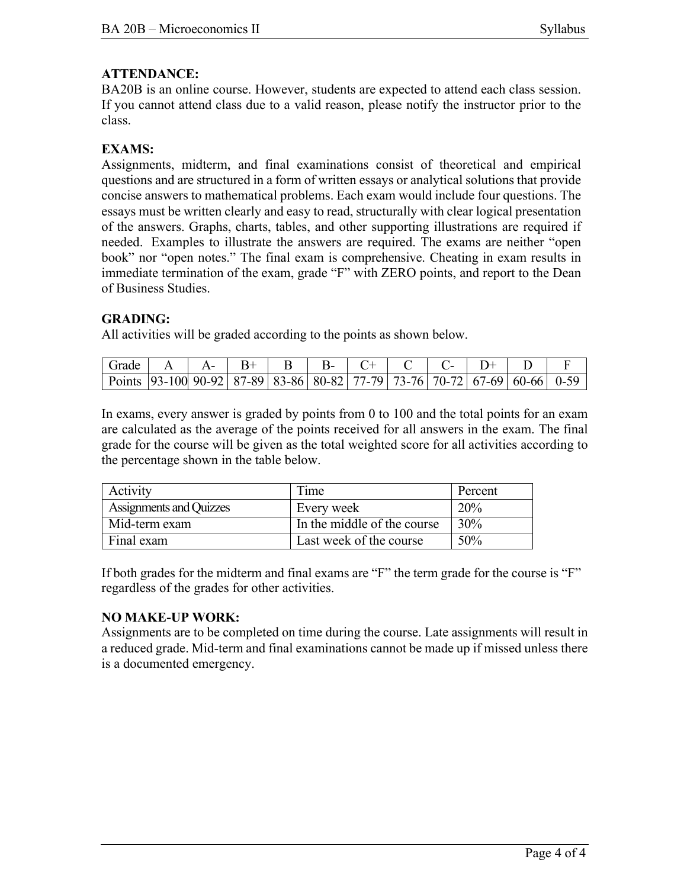# **ATTENDANCE:**

BA20B is an online course. However, students are expected to attend each class session. If you cannot attend class due to a valid reason, please notify the instructor prior to the class.

#### **EXAMS:**

Assignments, midterm, and final examinations consist of theoretical and empirical questions and are structured in a form of written essays or analytical solutions that provide concise answers to mathematical problems. Each exam would include four questions. The essays must be written clearly and easy to read, structurally with clear logical presentation of the answers. Graphs, charts, tables, and other supporting illustrations are required if needed. Examples to illustrate the answers are required. The exams are neither "open book" nor "open notes." The final exam is comprehensive. Cheating in exam results in immediate termination of the exam, grade "F" with ZERO points, and report to the Dean of Business Studies.

#### **GRADING:**

All activities will be graded according to the points as shown below.

| Grade                                                                                        |  |  |  |  |  |  |
|----------------------------------------------------------------------------------------------|--|--|--|--|--|--|
| Points   93-100 90-92   87-89   83-86   80-82   77-79   73-76   70-72   67-69   60-66   0-59 |  |  |  |  |  |  |

In exams, every answer is graded by points from 0 to 100 and the total points for an exam are calculated as the average of the points received for all answers in the exam. The final grade for the course will be given as the total weighted score for all activities according to the percentage shown in the table below.

| Activity                | Time                        | Percent |
|-------------------------|-----------------------------|---------|
| Assignments and Quizzes | Every week                  | 20%     |
| Mid-term exam           | In the middle of the course | 30%     |
| Final exam              | Last week of the course     | 50%     |

If both grades for the midterm and final exams are "F" the term grade for the course is "F" regardless of the grades for other activities.

#### **NO MAKE-UP WORK:**

Assignments are to be completed on time during the course. Late assignments will result in a reduced grade. Mid-term and final examinations cannot be made up if missed unless there is a documented emergency.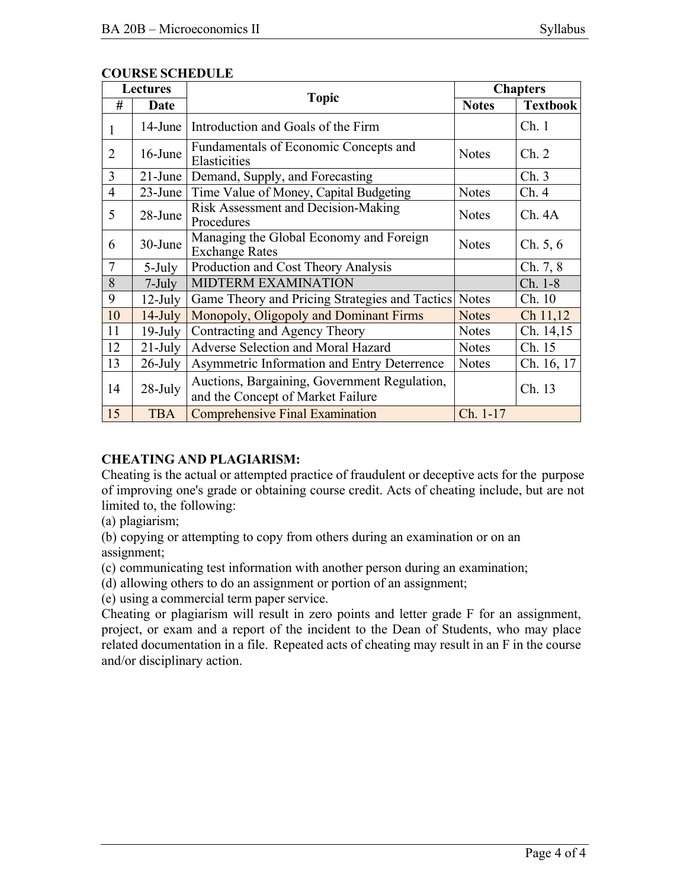| <b>Lectures</b> |                                                                             |                                                                                   | <b>Chapters</b> |                 |  |
|-----------------|-----------------------------------------------------------------------------|-----------------------------------------------------------------------------------|-----------------|-----------------|--|
| #               | Date                                                                        | <b>Topic</b>                                                                      | <b>Notes</b>    | <b>Textbook</b> |  |
| 1               |                                                                             | 14-June   Introduction and Goals of the Firm                                      |                 | Ch.1            |  |
| 2               | 16-June                                                                     | Fundamentals of Economic Concepts and<br>Elasticities                             | <b>Notes</b>    | Ch. 2           |  |
| 3               |                                                                             | 21-June   Demand, Supply, and Forecasting                                         |                 | Ch.3            |  |
| $\overline{4}$  |                                                                             | 23-June   Time Value of Money, Capital Budgeting                                  | <b>Notes</b>    | Ch.4            |  |
| 5               | 28-June                                                                     | Risk Assessment and Decision-Making<br>Procedures                                 | <b>Notes</b>    | Ch.4A           |  |
| 6               | Managing the Global Economy and Foreign<br>30-June<br><b>Exchange Rates</b> |                                                                                   | <b>Notes</b>    | Ch. 5, 6        |  |
| 7               | $5$ -July                                                                   | Production and Cost Theory Analysis                                               |                 | Ch. 7, 8        |  |
| 8               | $7$ -July                                                                   | <b>MIDTERM EXAMINATION</b>                                                        |                 | Ch. 1-8         |  |
| 9               | $12$ -July                                                                  | Game Theory and Pricing Strategies and Tactics                                    | <b>Notes</b>    | Ch. 10          |  |
| 10              | $14$ -July                                                                  | Monopoly, Oligopoly and Dominant Firms                                            | <b>Notes</b>    | Ch 11,12        |  |
| 11              | $19$ -July                                                                  | Contracting and Agency Theory                                                     | <b>Notes</b>    | Ch. 14,15       |  |
| 12              | $21$ -July                                                                  | Adverse Selection and Moral Hazard                                                | <b>Notes</b>    | Ch. 15          |  |
| 13              | $26$ -July                                                                  | Asymmetric Information and Entry Deterrence                                       | <b>Notes</b>    | Ch. 16, 17      |  |
| 14              | $28$ -July                                                                  | Auctions, Bargaining, Government Regulation,<br>and the Concept of Market Failure |                 | Ch. 13          |  |
| 15              | <b>TBA</b>                                                                  | <b>Comprehensive Final Examination</b>                                            | Ch. 1-17        |                 |  |

#### **COURSE SCHEDULE**

## **CHEATING AND PLAGIARISM:**

Cheating is the actual or attempted practice of fraudulent or deceptive acts for the purpose of improving one's grade or obtaining course credit. Acts of cheating include, but are not limited to, the following:

(a) plagiarism;

(b) copying or attempting to copy from others during an examination or on an assignment;

(c) communicating test information with another person during an examination;

(d) allowing others to do an assignment or portion of an assignment;

(e) using a commercial term paper service.

Cheating or plagiarism will result in zero points and letter grade F for an assignment, project, or exam and a report of the incident to the Dean of Students, who may place related documentation in a file. Repeated acts of cheating may result in an F in the course and/or disciplinary action.